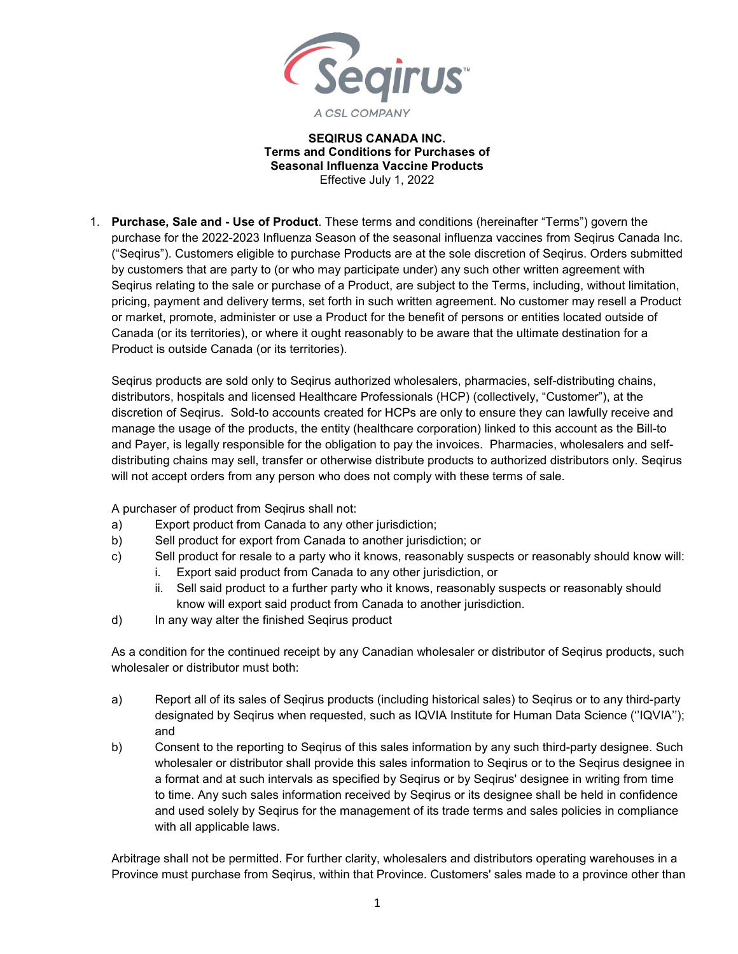

## **SEQIRUS CANADA INC. Terms and Conditions for Purchases of Seasonal Influenza Vaccine Products** Effective July 1, 2022

1. **Purchase, Sale and - Use of Product**. These terms and conditions (hereinafter "Terms") govern the purchase for the 2022-2023 Influenza Season of the seasonal influenza vaccines from Seqirus Canada Inc. ("Seqirus"). Customers eligible to purchase Products are at the sole discretion of Seqirus. Orders submitted by customers that are party to (or who may participate under) any such other written agreement with Seqirus relating to the sale or purchase of a Product, are subject to the Terms, including, without limitation, pricing, payment and delivery terms, set forth in such written agreement. No customer may resell a Product or market, promote, administer or use a Product for the benefit of persons or entities located outside of Canada (or its territories), or where it ought reasonably to be aware that the ultimate destination for a Product is outside Canada (or its territories).

Seqirus products are sold only to Seqirus authorized wholesalers, pharmacies, self-distributing chains, distributors, hospitals and licensed Healthcare Professionals (HCP) (collectively, "Customer"), at the discretion of Seqirus. Sold-to accounts created for HCPs are only to ensure they can lawfully receive and manage the usage of the products, the entity (healthcare corporation) linked to this account as the Bill-to and Payer, is legally responsible for the obligation to pay the invoices. Pharmacies, wholesalers and selfdistributing chains may sell, transfer or otherwise distribute products to authorized distributors only. Seqirus will not accept orders from any person who does not comply with these terms of sale.

A purchaser of product from Seqirus shall not:

- a) Export product from Canada to any other jurisdiction;
- b) Sell product for export from Canada to another jurisdiction; or
- c) Sell product for resale to a party who it knows, reasonably suspects or reasonably should know will: i. Export said product from Canada to any other jurisdiction, or
	- ii. Sell said product to a further party who it knows, reasonably suspects or reasonably should know will export said product from Canada to another jurisdiction.
- d) In any way alter the finished Seqirus product

As a condition for the continued receipt by any Canadian wholesaler or distributor of Seqirus products, such wholesaler or distributor must both:

- a) Report all of its sales of Seqirus products (including historical sales) to Seqirus or to any third-party designated by Seqirus when requested, such as IQVIA Institute for Human Data Science (''IQVIA''); and
- b) Consent to the reporting to Seqirus of this sales information by any such third-party designee. Such wholesaler or distributor shall provide this sales information to Seqirus or to the Seqirus designee in a format and at such intervals as specified by Seqirus or by Seqirus' designee in writing from time to time. Any such sales information received by Seqirus or its designee shall be held in confidence and used solely by Seqirus for the management of its trade terms and sales policies in compliance with all applicable laws.

Arbitrage shall not be permitted. For further clarity, wholesalers and distributors operating warehouses in a Province must purchase from Seqirus, within that Province. Customers' sales made to a province other than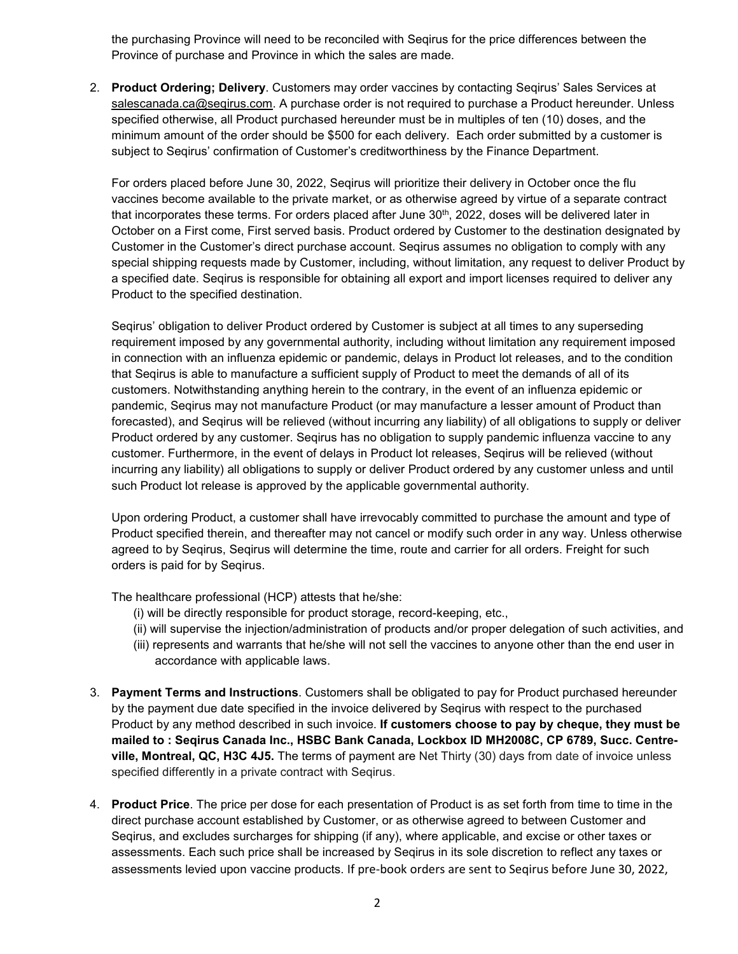the purchasing Province will need to be reconciled with Seqirus for the price differences between the Province of purchase and Province in which the sales are made.

2. **Product Ordering; Delivery**. Customers may order vaccines by contacting Seqirus' Sales Services at salescanada.ca@seqirus.com. A purchase order is not required to purchase a Product hereunder. Unless specified otherwise, all Product purchased hereunder must be in multiples of ten (10) doses, and the minimum amount of the order should be \$500 for each delivery. Each order submitted by a customer is subject to Seqirus' confirmation of Customer's creditworthiness by the Finance Department.

For orders placed before June 30, 2022, Seqirus will prioritize their delivery in October once the flu vaccines become available to the private market, or as otherwise agreed by virtue of a separate contract that incorporates these terms. For orders placed after June 30<sup>th</sup>, 2022, doses will be delivered later in October on a First come, First served basis. Product ordered by Customer to the destination designated by Customer in the Customer's direct purchase account. Seqirus assumes no obligation to comply with any special shipping requests made by Customer, including, without limitation, any request to deliver Product by a specified date. Seqirus is responsible for obtaining all export and import licenses required to deliver any Product to the specified destination.

Seqirus' obligation to deliver Product ordered by Customer is subject at all times to any superseding requirement imposed by any governmental authority, including without limitation any requirement imposed in connection with an influenza epidemic or pandemic, delays in Product lot releases, and to the condition that Seqirus is able to manufacture a sufficient supply of Product to meet the demands of all of its customers. Notwithstanding anything herein to the contrary, in the event of an influenza epidemic or pandemic, Seqirus may not manufacture Product (or may manufacture a lesser amount of Product than forecasted), and Seqirus will be relieved (without incurring any liability) of all obligations to supply or deliver Product ordered by any customer. Seqirus has no obligation to supply pandemic influenza vaccine to any customer. Furthermore, in the event of delays in Product lot releases, Seqirus will be relieved (without incurring any liability) all obligations to supply or deliver Product ordered by any customer unless and until such Product lot release is approved by the applicable governmental authority.

Upon ordering Product, a customer shall have irrevocably committed to purchase the amount and type of Product specified therein, and thereafter may not cancel or modify such order in any way. Unless otherwise agreed to by Seqirus, Seqirus will determine the time, route and carrier for all orders. Freight for such orders is paid for by Seqirus.

The healthcare professional (HCP) attests that he/she:

- (i) will be directly responsible for product storage, record-keeping, etc.,
- (ii) will supervise the injection/administration of products and/or proper delegation of such activities, and
- (iii) represents and warrants that he/she will not sell the vaccines to anyone other than the end user in accordance with applicable laws.
- 3. **Payment Terms and Instructions**. Customers shall be obligated to pay for Product purchased hereunder by the payment due date specified in the invoice delivered by Seqirus with respect to the purchased Product by any method described in such invoice. **If customers choose to pay by cheque, they must be mailed to : Seqirus Canada Inc., HSBC Bank Canada, Lockbox ID MH2008C, CP 6789, Succ. Centreville, Montreal, QC, H3C 4J5.** The terms of payment are Net Thirty (30) days from date of invoice unless specified differently in a private contract with Seqirus.
- 4. **Product Price**. The price per dose for each presentation of Product is as set forth from time to time in the direct purchase account established by Customer, or as otherwise agreed to between Customer and Seqirus, and excludes surcharges for shipping (if any), where applicable, and excise or other taxes or assessments. Each such price shall be increased by Seqirus in its sole discretion to reflect any taxes or assessments levied upon vaccine products. If pre-book orders are sent to Seqirus before June 30, 2022,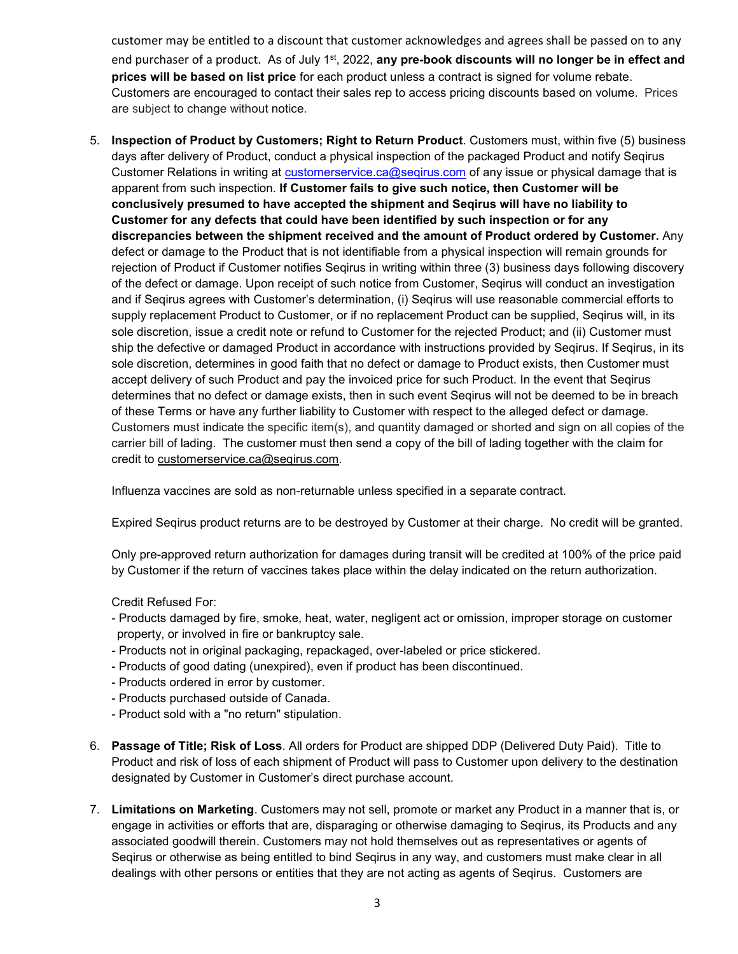customer may be entitled to a discount that customer acknowledges and agrees shall be passed on to any end purchaser of a product. As of July 1st, 2022, **any pre-book discounts will no longer be in effect and prices will be based on list price** for each product unless a contract is signed for volume rebate. Customers are encouraged to contact their sales rep to access pricing discounts based on volume. Prices are subject to change without notice.

5. **Inspection of Product by Customers; Right to Return Product**. Customers must, within five (5) business days after delivery of Product, conduct a physical inspection of the packaged Product and notify Seqirus Customer Relations in writing at [customerservice.ca@seqirus.com](mailto:customerservice.ca@seqirus.com) of any issue or physical damage that is apparent from such inspection. **If Customer fails to give such notice, then Customer will be conclusively presumed to have accepted the shipment and Seqirus will have no liability to Customer for any defects that could have been identified by such inspection or for any discrepancies between the shipment received and the amount of Product ordered by Customer.** Any defect or damage to the Product that is not identifiable from a physical inspection will remain grounds for rejection of Product if Customer notifies Seqirus in writing within three (3) business days following discovery of the defect or damage. Upon receipt of such notice from Customer, Seqirus will conduct an investigation and if Seqirus agrees with Customer's determination, (i) Seqirus will use reasonable commercial efforts to supply replacement Product to Customer, or if no replacement Product can be supplied, Seqirus will, in its sole discretion, issue a credit note or refund to Customer for the rejected Product; and (ii) Customer must ship the defective or damaged Product in accordance with instructions provided by Seqirus. If Seqirus, in its sole discretion, determines in good faith that no defect or damage to Product exists, then Customer must accept delivery of such Product and pay the invoiced price for such Product. In the event that Seqirus determines that no defect or damage exists, then in such event Seqirus will not be deemed to be in breach of these Terms or have any further liability to Customer with respect to the alleged defect or damage. Customers must indicate the specific item(s), and quantity damaged or shorted and sign on all copies of the carrier bill of lading. The customer must then send a copy of the bill of lading together with the claim for credit to [customerservice.ca@seqirus.com.](mailto:customerservice.ca@seqirus.com)

Influenza vaccines are sold as non-returnable unless specified in a separate contract.

Expired Seqirus product returns are to be destroyed by Customer at their charge. No credit will be granted.

Only pre-approved return authorization for damages during transit will be credited at 100% of the price paid by Customer if the return of vaccines takes place within the delay indicated on the return authorization.

Credit Refused For:

- Products damaged by fire, smoke, heat, water, negligent act or omission, improper storage on customer property, or involved in fire or bankruptcy sale.
- Products not in original packaging, repackaged, over-labeled or price stickered.
- Products of good dating (unexpired), even if product has been discontinued.
- Products ordered in error by customer.
- Products purchased outside of Canada.
- Product sold with a "no return" stipulation.
- 6. **Passage of Title; Risk of Loss**. All orders for Product are shipped DDP (Delivered Duty Paid). Title to Product and risk of loss of each shipment of Product will pass to Customer upon delivery to the destination designated by Customer in Customer's direct purchase account.
- 7. **Limitations on Marketing**. Customers may not sell, promote or market any Product in a manner that is, or engage in activities or efforts that are, disparaging or otherwise damaging to Seqirus, its Products and any associated goodwill therein. Customers may not hold themselves out as representatives or agents of Seqirus or otherwise as being entitled to bind Seqirus in any way, and customers must make clear in all dealings with other persons or entities that they are not acting as agents of Seqirus. Customers are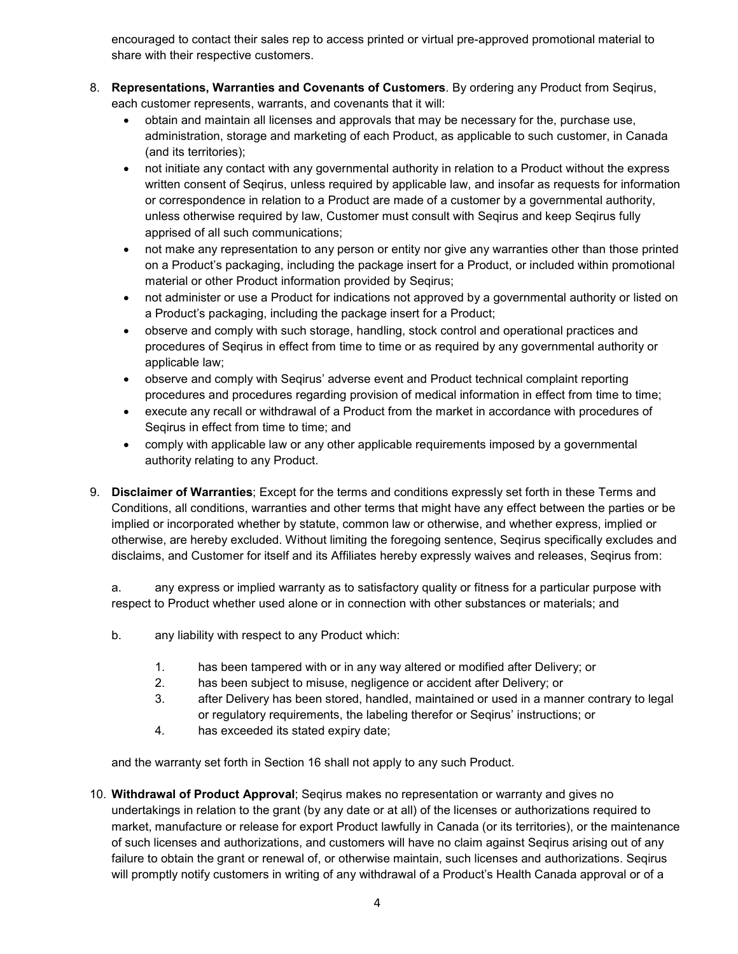encouraged to contact their sales rep to access printed or virtual pre-approved promotional material to share with their respective customers.

- 8. **Representations, Warranties and Covenants of Customers**. By ordering any Product from Seqirus, each customer represents, warrants, and covenants that it will:
	- obtain and maintain all licenses and approvals that may be necessary for the, purchase use, administration, storage and marketing of each Product, as applicable to such customer, in Canada (and its territories);
	- not initiate any contact with any governmental authority in relation to a Product without the express written consent of Seqirus, unless required by applicable law, and insofar as requests for information or correspondence in relation to a Product are made of a customer by a governmental authority, unless otherwise required by law, Customer must consult with Seqirus and keep Seqirus fully apprised of all such communications;
	- not make any representation to any person or entity nor give any warranties other than those printed on a Product's packaging, including the package insert for a Product, or included within promotional material or other Product information provided by Seqirus;
	- not administer or use a Product for indications not approved by a governmental authority or listed on a Product's packaging, including the package insert for a Product;
	- observe and comply with such storage, handling, stock control and operational practices and procedures of Seqirus in effect from time to time or as required by any governmental authority or applicable law;
	- observe and comply with Seqirus' adverse event and Product technical complaint reporting procedures and procedures regarding provision of medical information in effect from time to time;
	- execute any recall or withdrawal of a Product from the market in accordance with procedures of Seqirus in effect from time to time; and
	- comply with applicable law or any other applicable requirements imposed by a governmental authority relating to any Product.
- 9. **Disclaimer of Warranties**; Except for the terms and conditions expressly set forth in these Terms and Conditions, all conditions, warranties and other terms that might have any effect between the parties or be implied or incorporated whether by statute, common law or otherwise, and whether express, implied or otherwise, are hereby excluded. Without limiting the foregoing sentence, Seqirus specifically excludes and disclaims, and Customer for itself and its Affiliates hereby expressly waives and releases, Seqirus from:

a. any express or implied warranty as to satisfactory quality or fitness for a particular purpose with respect to Product whether used alone or in connection with other substances or materials; and

- b. any liability with respect to any Product which:
	- 1. has been tampered with or in any way altered or modified after Delivery; or
	- 2. has been subject to misuse, negligence or accident after Delivery; or
	- 3. after Delivery has been stored, handled, maintained or used in a manner contrary to legal or regulatory requirements, the labeling therefor or Seqirus' instructions; or
	- 4. has exceeded its stated expiry date;

and the warranty set forth in Section 16 shall not apply to any such Product.

10. **Withdrawal of Product Approval**; Seqirus makes no representation or warranty and gives no undertakings in relation to the grant (by any date or at all) of the licenses or authorizations required to market, manufacture or release for export Product lawfully in Canada (or its territories), or the maintenance of such licenses and authorizations, and customers will have no claim against Seqirus arising out of any failure to obtain the grant or renewal of, or otherwise maintain, such licenses and authorizations. Seqirus will promptly notify customers in writing of any withdrawal of a Product's Health Canada approval or of a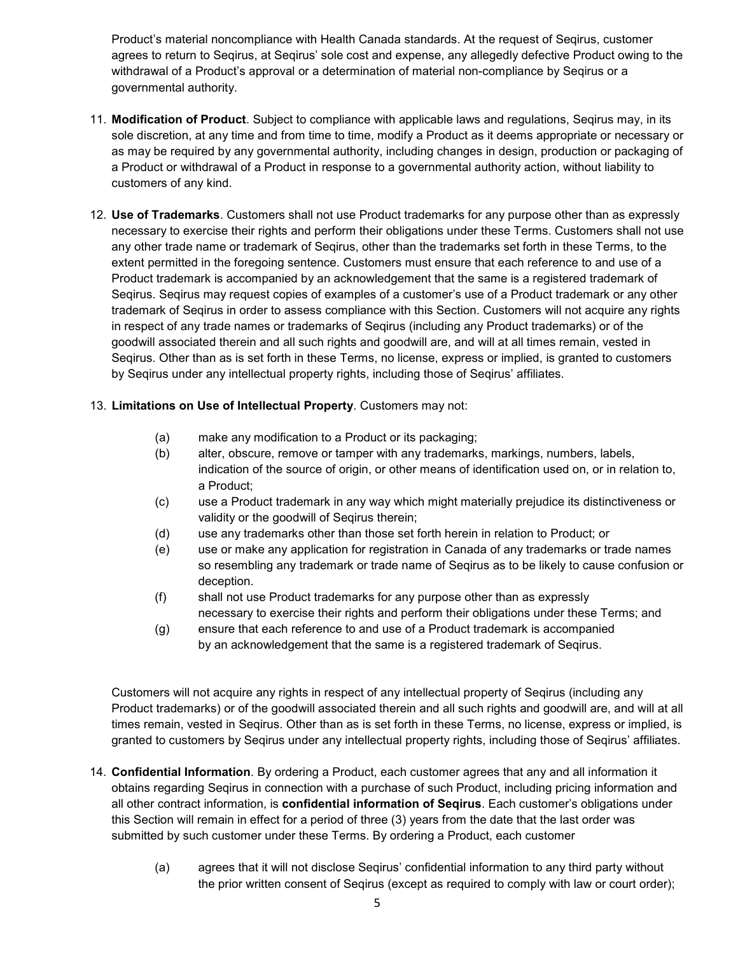Product's material noncompliance with Health Canada standards. At the request of Seqirus, customer agrees to return to Seqirus, at Seqirus' sole cost and expense, any allegedly defective Product owing to the withdrawal of a Product's approval or a determination of material non-compliance by Seqirus or a governmental authority.

- 11. **Modification of Product**. Subject to compliance with applicable laws and regulations, Seqirus may, in its sole discretion, at any time and from time to time, modify a Product as it deems appropriate or necessary or as may be required by any governmental authority, including changes in design, production or packaging of a Product or withdrawal of a Product in response to a governmental authority action, without liability to customers of any kind.
- 12. **Use of Trademarks**. Customers shall not use Product trademarks for any purpose other than as expressly necessary to exercise their rights and perform their obligations under these Terms. Customers shall not use any other trade name or trademark of Seqirus, other than the trademarks set forth in these Terms, to the extent permitted in the foregoing sentence. Customers must ensure that each reference to and use of a Product trademark is accompanied by an acknowledgement that the same is a registered trademark of Seqirus. Seqirus may request copies of examples of a customer's use of a Product trademark or any other trademark of Seqirus in order to assess compliance with this Section. Customers will not acquire any rights in respect of any trade names or trademarks of Seqirus (including any Product trademarks) or of the goodwill associated therein and all such rights and goodwill are, and will at all times remain, vested in Seqirus. Other than as is set forth in these Terms, no license, express or implied, is granted to customers by Seqirus under any intellectual property rights, including those of Seqirus' affiliates.

## 13. **Limitations on Use of Intellectual Property**. Customers may not:

- (a) make any modification to a Product or its packaging;
- (b) alter, obscure, remove or tamper with any trademarks, markings, numbers, labels, indication of the source of origin, or other means of identification used on, or in relation to, a Product;
- (c) use a Product trademark in any way which might materially prejudice its distinctiveness or validity or the goodwill of Seqirus therein;
- (d) use any trademarks other than those set forth herein in relation to Product; or
- (e) use or make any application for registration in Canada of any trademarks or trade names so resembling any trademark or trade name of Seqirus as to be likely to cause confusion or deception.
- (f) shall not use Product trademarks for any purpose other than as expressly necessary to exercise their rights and perform their obligations under these Terms; and
- (g) ensure that each reference to and use of a Product trademark is accompanied by an acknowledgement that the same is a registered trademark of Seqirus.

Customers will not acquire any rights in respect of any intellectual property of Seqirus (including any Product trademarks) or of the goodwill associated therein and all such rights and goodwill are, and will at all times remain, vested in Seqirus. Other than as is set forth in these Terms, no license, express or implied, is granted to customers by Seqirus under any intellectual property rights, including those of Seqirus' affiliates.

- 14. **Confidential Information**. By ordering a Product, each customer agrees that any and all information it obtains regarding Seqirus in connection with a purchase of such Product, including pricing information and all other contract information, is **confidential information of Seqirus**. Each customer's obligations under this Section will remain in effect for a period of three (3) years from the date that the last order was submitted by such customer under these Terms. By ordering a Product, each customer
	- (a) agrees that it will not disclose Seqirus' confidential information to any third party without the prior written consent of Seqirus (except as required to comply with law or court order);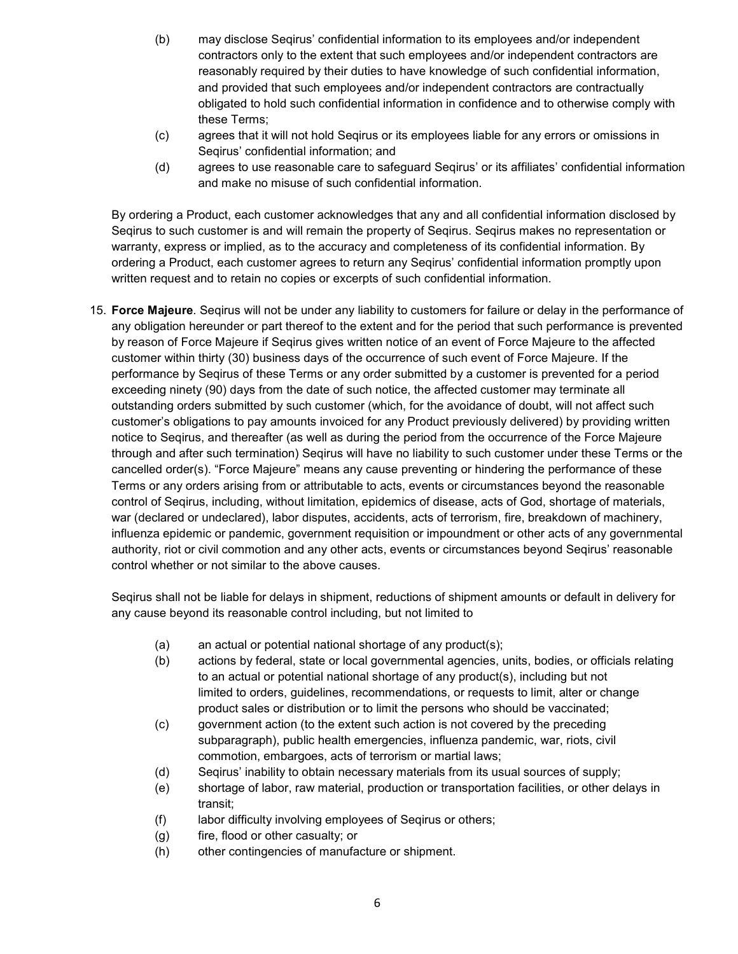- (b) may disclose Seqirus' confidential information to its employees and/or independent contractors only to the extent that such employees and/or independent contractors are reasonably required by their duties to have knowledge of such confidential information, and provided that such employees and/or independent contractors are contractually obligated to hold such confidential information in confidence and to otherwise comply with these Terms;
- (c) agrees that it will not hold Seqirus or its employees liable for any errors or omissions in Seqirus' confidential information; and
- (d) agrees to use reasonable care to safeguard Seqirus' or its affiliates' confidential information and make no misuse of such confidential information.

By ordering a Product, each customer acknowledges that any and all confidential information disclosed by Seqirus to such customer is and will remain the property of Seqirus. Seqirus makes no representation or warranty, express or implied, as to the accuracy and completeness of its confidential information. By ordering a Product, each customer agrees to return any Seqirus' confidential information promptly upon written request and to retain no copies or excerpts of such confidential information.

15. **Force Majeure**. Seqirus will not be under any liability to customers for failure or delay in the performance of any obligation hereunder or part thereof to the extent and for the period that such performance is prevented by reason of Force Majeure if Seqirus gives written notice of an event of Force Majeure to the affected customer within thirty (30) business days of the occurrence of such event of Force Majeure. If the performance by Seqirus of these Terms or any order submitted by a customer is prevented for a period exceeding ninety (90) days from the date of such notice, the affected customer may terminate all outstanding orders submitted by such customer (which, for the avoidance of doubt, will not affect such customer's obligations to pay amounts invoiced for any Product previously delivered) by providing written notice to Seqirus, and thereafter (as well as during the period from the occurrence of the Force Majeure through and after such termination) Seqirus will have no liability to such customer under these Terms or the cancelled order(s). "Force Majeure" means any cause preventing or hindering the performance of these Terms or any orders arising from or attributable to acts, events or circumstances beyond the reasonable control of Seqirus, including, without limitation, epidemics of disease, acts of God, shortage of materials, war (declared or undeclared), labor disputes, accidents, acts of terrorism, fire, breakdown of machinery, influenza epidemic or pandemic, government requisition or impoundment or other acts of any governmental authority, riot or civil commotion and any other acts, events or circumstances beyond Seqirus' reasonable control whether or not similar to the above causes.

Seqirus shall not be liable for delays in shipment, reductions of shipment amounts or default in delivery for any cause beyond its reasonable control including, but not limited to

- (a) an actual or potential national shortage of any product(s);
- (b) actions by federal, state or local governmental agencies, units, bodies, or officials relating to an actual or potential national shortage of any product(s), including but not limited to orders, guidelines, recommendations, or requests to limit, alter or change product sales or distribution or to limit the persons who should be vaccinated;
- (c) government action (to the extent such action is not covered by the preceding subparagraph), public health emergencies, influenza pandemic, war, riots, civil commotion, embargoes, acts of terrorism or martial laws;
- (d) Seqirus' inability to obtain necessary materials from its usual sources of supply;
- (e) shortage of labor, raw material, production or transportation facilities, or other delays in transit;
- (f) labor difficulty involving employees of Seqirus or others;
- (g) fire, flood or other casualty; or
- (h) other contingencies of manufacture or shipment.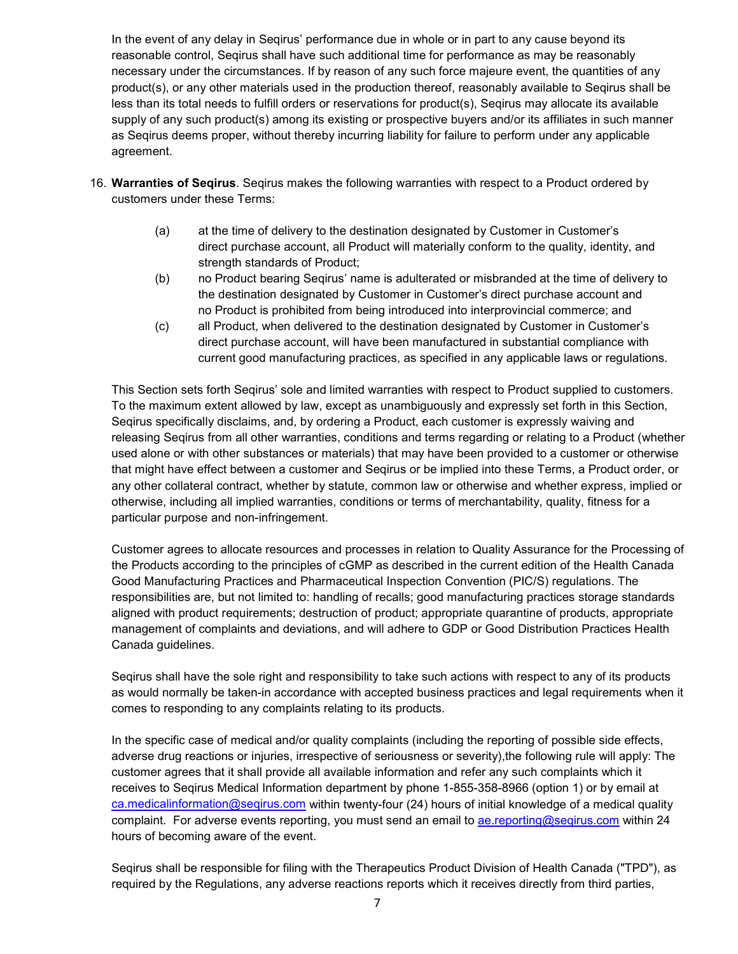In the event of any delay in Seqirus' performance due in whole or in part to any cause beyond its reasonable control, Seqirus shall have such additional time for performance as may be reasonably necessary under the circumstances. If by reason of any such force majeure event, the quantities of any product(s), or any other materials used in the production thereof, reasonably available to Seqirus shall be less than its total needs to fulfill orders or reservations for product(s), Seqirus may allocate its available supply of any such product(s) among its existing or prospective buyers and/or its affiliates in such manner as Seqirus deems proper, without thereby incurring liability for failure to perform under any applicable agreement.

- 16. **Warranties of Seqirus**. Seqirus makes the following warranties with respect to a Product ordered by customers under these Terms:
	- (a) at the time of delivery to the destination designated by Customer in Customer's direct purchase account, all Product will materially conform to the quality, identity, and strength standards of Product;
	- (b) no Product bearing Seqirus' name is adulterated or misbranded at the time of delivery to the destination designated by Customer in Customer's direct purchase account and no Product is prohibited from being introduced into interprovincial commerce; and
	- (c) all Product, when delivered to the destination designated by Customer in Customer's direct purchase account, will have been manufactured in substantial compliance with current good manufacturing practices, as specified in any applicable laws or regulations.

This Section sets forth Seqirus' sole and limited warranties with respect to Product supplied to customers. To the maximum extent allowed by law, except as unambiguously and expressly set forth in this Section, Seqirus specifically disclaims, and, by ordering a Product, each customer is expressly waiving and releasing Seqirus from all other warranties, conditions and terms regarding or relating to a Product (whether used alone or with other substances or materials) that may have been provided to a customer or otherwise that might have effect between a customer and Seqirus or be implied into these Terms, a Product order, or any other collateral contract, whether by statute, common law or otherwise and whether express, implied or otherwise, including all implied warranties, conditions or terms of merchantability, quality, fitness for a particular purpose and non-infringement.

Customer agrees to allocate resources and processes in relation to Quality Assurance for the Processing of the Products according to the principles of cGMP as described in the current edition of the Health Canada Good Manufacturing Practices and Pharmaceutical Inspection Convention (PIC/S) regulations. The responsibilities are, but not limited to: handling of recalls; good manufacturing practices storage standards aligned with product requirements; destruction of product; appropriate quarantine of products, appropriate management of complaints and deviations, and will adhere to GDP or Good Distribution Practices Health Canada guidelines.

Seqirus shall have the sole right and responsibility to take such actions with respect to any of its products as would normally be taken-in accordance with accepted business practices and legal requirements when it comes to responding to any complaints relating to its products.

In the specific case of medical and/or quality complaints (including the reporting of possible side effects, adverse drug reactions or injuries, irrespective of seriousness or severity),the following rule will apply: The customer agrees that it shall provide all available information and refer any such complaints which it receives to Seqirus Medical Information department by phone 1-855-358-8966 (option 1) or by email at [ca.medicalinformation@seqirus.com](mailto:ca.medicalinformation@seqirus.com) within twenty-four (24) hours of initial knowledge of a medical quality complaint. For adverse events reporting, you must send an email to ae reporting@seqirus.com within 24 hours of becoming aware of the event.

Seqirus shall be responsible for filing with the Therapeutics Product Division of Health Canada ("TPD"), as required by the Regulations, any adverse reactions reports which it receives directly from third parties,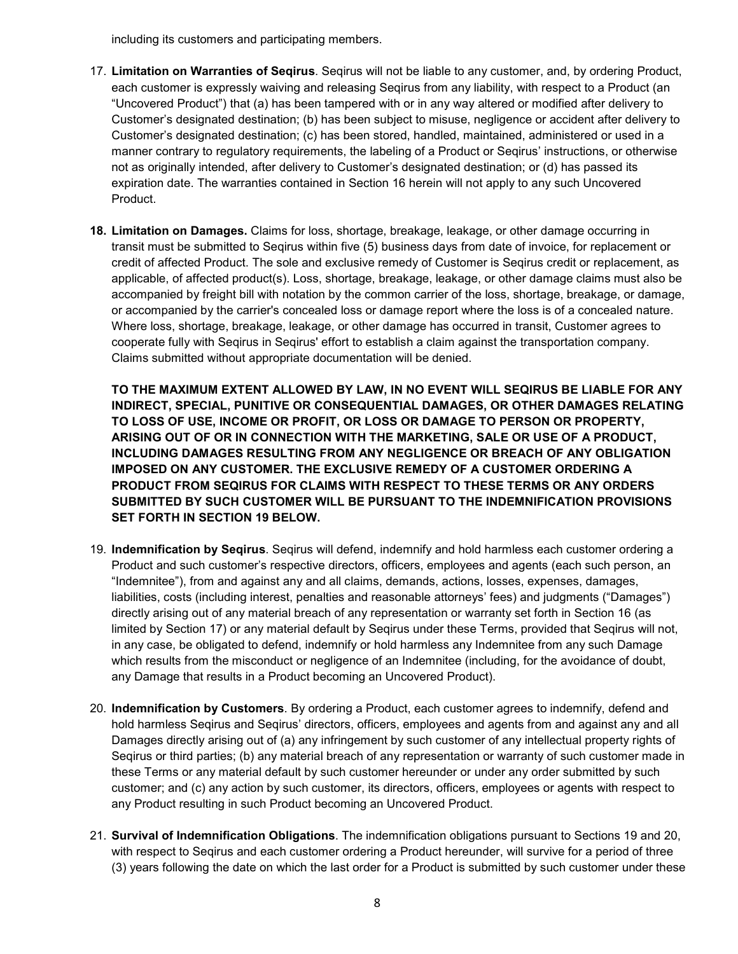including its customers and participating members.

- 17. **Limitation on Warranties of Seqirus**. Seqirus will not be liable to any customer, and, by ordering Product, each customer is expressly waiving and releasing Seqirus from any liability, with respect to a Product (an "Uncovered Product") that (a) has been tampered with or in any way altered or modified after delivery to Customer's designated destination; (b) has been subject to misuse, negligence or accident after delivery to Customer's designated destination; (c) has been stored, handled, maintained, administered or used in a manner contrary to regulatory requirements, the labeling of a Product or Seqirus' instructions, or otherwise not as originally intended, after delivery to Customer's designated destination; or (d) has passed its expiration date. The warranties contained in Section 16 herein will not apply to any such Uncovered Product.
- **18. Limitation on Damages.** Claims for loss, shortage, breakage, leakage, or other damage occurring in transit must be submitted to Seqirus within five (5) business days from date of invoice, for replacement or credit of affected Product. The sole and exclusive remedy of Customer is Seqirus credit or replacement, as applicable, of affected product(s). Loss, shortage, breakage, leakage, or other damage claims must also be accompanied by freight bill with notation by the common carrier of the loss, shortage, breakage, or damage, or accompanied by the carrier's concealed loss or damage report where the loss is of a concealed nature. Where loss, shortage, breakage, leakage, or other damage has occurred in transit, Customer agrees to cooperate fully with Seqirus in Seqirus' effort to establish a claim against the transportation company. Claims submitted without appropriate documentation will be denied.

**TO THE MAXIMUM EXTENT ALLOWED BY LAW, IN NO EVENT WILL SEQIRUS BE LIABLE FOR ANY INDIRECT, SPECIAL, PUNITIVE OR CONSEQUENTIAL DAMAGES, OR OTHER DAMAGES RELATING TO LOSS OF USE, INCOME OR PROFIT, OR LOSS OR DAMAGE TO PERSON OR PROPERTY, ARISING OUT OF OR IN CONNECTION WITH THE MARKETING, SALE OR USE OF A PRODUCT, INCLUDING DAMAGES RESULTING FROM ANY NEGLIGENCE OR BREACH OF ANY OBLIGATION IMPOSED ON ANY CUSTOMER. THE EXCLUSIVE REMEDY OF A CUSTOMER ORDERING A PRODUCT FROM SEQIRUS FOR CLAIMS WITH RESPECT TO THESE TERMS OR ANY ORDERS SUBMITTED BY SUCH CUSTOMER WILL BE PURSUANT TO THE INDEMNIFICATION PROVISIONS SET FORTH IN SECTION 19 BELOW.**

- 19. **Indemnification by Seqirus**. Seqirus will defend, indemnify and hold harmless each customer ordering a Product and such customer's respective directors, officers, employees and agents (each such person, an "Indemnitee"), from and against any and all claims, demands, actions, losses, expenses, damages, liabilities, costs (including interest, penalties and reasonable attorneys' fees) and judgments ("Damages") directly arising out of any material breach of any representation or warranty set forth in Section 16 (as limited by Section 17) or any material default by Seqirus under these Terms, provided that Seqirus will not, in any case, be obligated to defend, indemnify or hold harmless any Indemnitee from any such Damage which results from the misconduct or negligence of an Indemnitee (including, for the avoidance of doubt, any Damage that results in a Product becoming an Uncovered Product).
- 20. **Indemnification by Customers**. By ordering a Product, each customer agrees to indemnify, defend and hold harmless Seqirus and Seqirus' directors, officers, employees and agents from and against any and all Damages directly arising out of (a) any infringement by such customer of any intellectual property rights of Seqirus or third parties; (b) any material breach of any representation or warranty of such customer made in these Terms or any material default by such customer hereunder or under any order submitted by such customer; and (c) any action by such customer, its directors, officers, employees or agents with respect to any Product resulting in such Product becoming an Uncovered Product.
- 21. **Survival of Indemnification Obligations**. The indemnification obligations pursuant to Sections 19 and 20, with respect to Seqirus and each customer ordering a Product hereunder, will survive for a period of three (3) years following the date on which the last order for a Product is submitted by such customer under these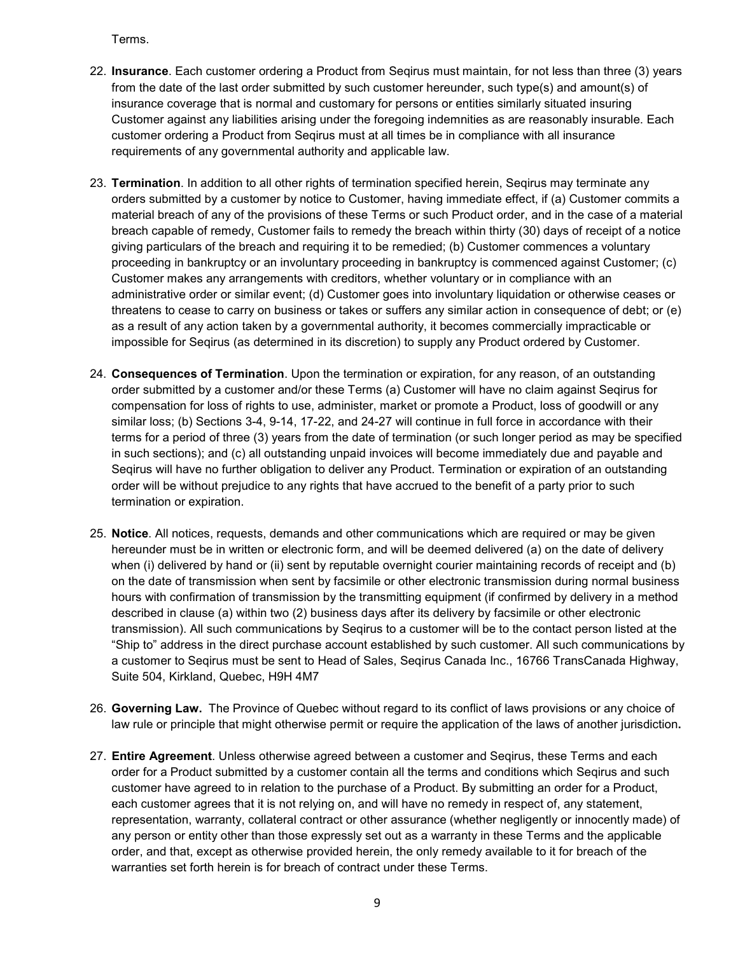Terms.

- 22. **Insurance**. Each customer ordering a Product from Seqirus must maintain, for not less than three (3) years from the date of the last order submitted by such customer hereunder, such type(s) and amount(s) of insurance coverage that is normal and customary for persons or entities similarly situated insuring Customer against any liabilities arising under the foregoing indemnities as are reasonably insurable. Each customer ordering a Product from Seqirus must at all times be in compliance with all insurance requirements of any governmental authority and applicable law.
- 23. **Termination**. In addition to all other rights of termination specified herein, Seqirus may terminate any orders submitted by a customer by notice to Customer, having immediate effect, if (a) Customer commits a material breach of any of the provisions of these Terms or such Product order, and in the case of a material breach capable of remedy, Customer fails to remedy the breach within thirty (30) days of receipt of a notice giving particulars of the breach and requiring it to be remedied; (b) Customer commences a voluntary proceeding in bankruptcy or an involuntary proceeding in bankruptcy is commenced against Customer; (c) Customer makes any arrangements with creditors, whether voluntary or in compliance with an administrative order or similar event; (d) Customer goes into involuntary liquidation or otherwise ceases or threatens to cease to carry on business or takes or suffers any similar action in consequence of debt; or (e) as a result of any action taken by a governmental authority, it becomes commercially impracticable or impossible for Seqirus (as determined in its discretion) to supply any Product ordered by Customer.
- 24. **Consequences of Termination**. Upon the termination or expiration, for any reason, of an outstanding order submitted by a customer and/or these Terms (a) Customer will have no claim against Seqirus for compensation for loss of rights to use, administer, market or promote a Product, loss of goodwill or any similar loss; (b) Sections 3-4, 9-14, 17-22, and 24-27 will continue in full force in accordance with their terms for a period of three (3) years from the date of termination (or such longer period as may be specified in such sections); and (c) all outstanding unpaid invoices will become immediately due and payable and Seqirus will have no further obligation to deliver any Product. Termination or expiration of an outstanding order will be without prejudice to any rights that have accrued to the benefit of a party prior to such termination or expiration.
- 25. **Notice**. All notices, requests, demands and other communications which are required or may be given hereunder must be in written or electronic form, and will be deemed delivered (a) on the date of delivery when (i) delivered by hand or (ii) sent by reputable overnight courier maintaining records of receipt and (b) on the date of transmission when sent by facsimile or other electronic transmission during normal business hours with confirmation of transmission by the transmitting equipment (if confirmed by delivery in a method described in clause (a) within two (2) business days after its delivery by facsimile or other electronic transmission). All such communications by Seqirus to a customer will be to the contact person listed at the "Ship to" address in the direct purchase account established by such customer. All such communications by a customer to Seqirus must be sent to Head of Sales, Seqirus Canada Inc., 16766 TransCanada Highway, Suite 504, Kirkland, Quebec, H9H 4M7
- 26. **Governing Law.** The Province of Quebec without regard to its conflict of laws provisions or any choice of law rule or principle that might otherwise permit or require the application of the laws of another jurisdiction**.**
- 27. **Entire Agreement**. Unless otherwise agreed between a customer and Seqirus, these Terms and each order for a Product submitted by a customer contain all the terms and conditions which Seqirus and such customer have agreed to in relation to the purchase of a Product. By submitting an order for a Product, each customer agrees that it is not relying on, and will have no remedy in respect of, any statement, representation, warranty, collateral contract or other assurance (whether negligently or innocently made) of any person or entity other than those expressly set out as a warranty in these Terms and the applicable order, and that, except as otherwise provided herein, the only remedy available to it for breach of the warranties set forth herein is for breach of contract under these Terms.